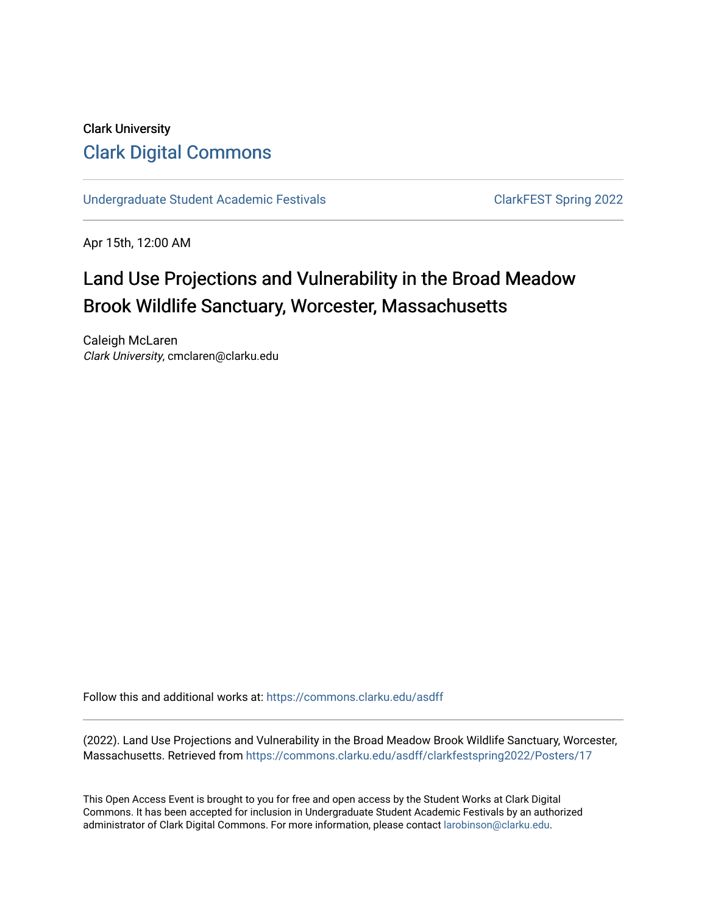## Clark University [Clark Digital Commons](https://commons.clarku.edu/)

[Undergraduate Student Academic Festivals](https://commons.clarku.edu/asdff) ClarkFEST Spring 2022

Apr 15th, 12:00 AM

# Land Use Projections and Vulnerability in the Broad Meadow Brook Wildlife Sanctuary, Worcester, Massachusetts

Caleigh McLaren Clark University, cmclaren@clarku.edu

Follow this and additional works at: [https://commons.clarku.edu/asdff](https://commons.clarku.edu/asdff?utm_source=commons.clarku.edu%2Fasdff%2Fclarkfestspring2022%2FPosters%2F17&utm_medium=PDF&utm_campaign=PDFCoverPages)

(2022). Land Use Projections and Vulnerability in the Broad Meadow Brook Wildlife Sanctuary, Worcester, Massachusetts. Retrieved from [https://commons.clarku.edu/asdff/clarkfestspring2022/Posters/17](https://commons.clarku.edu/asdff/clarkfestspring2022/Posters/17?utm_source=commons.clarku.edu%2Fasdff%2Fclarkfestspring2022%2FPosters%2F17&utm_medium=PDF&utm_campaign=PDFCoverPages) 

This Open Access Event is brought to you for free and open access by the Student Works at Clark Digital Commons. It has been accepted for inclusion in Undergraduate Student Academic Festivals by an authorized administrator of Clark Digital Commons. For more information, please contact [larobinson@clarku.edu](mailto:larobinson@clarku.edu).